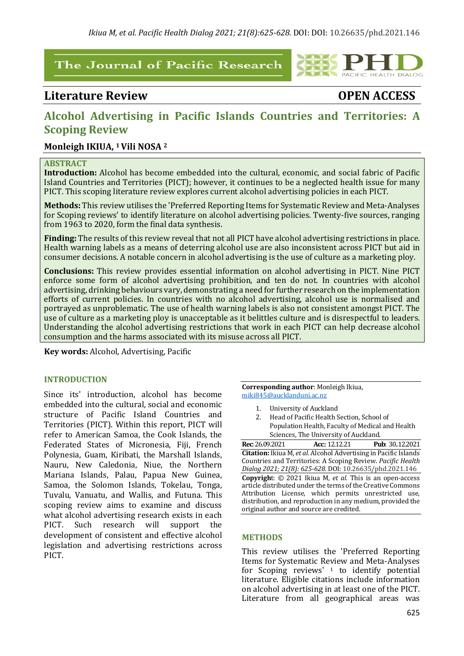## The Journal of Pacific Research

# Literature Review *COPEN ACCESS*

PACIFIC HEALTH DIALOG

# Alcohol Advertising in Pacific Islands Countries and Territories: A **Scoping Review**

## **Monleigh IKIUA, 1 Vili NOSA <sup>2</sup>**

#### **ABSTRACT**

**Introduction:** Alcohol has become embedded into the cultural, economic, and social fabric of Pacific Island Countries and Territories (PICT); however, it continues to be a neglected health issue for many PICT. This scoping literature review explores current alcohol advertising policies in each PICT.

**Methods:** This review utilises the 'Preferred Reporting Items for Systematic Review and Meta-Analyses for Scoping reviews' to identify literature on alcohol advertising policies. Twenty-five sources, ranging from 1963 to 2020, form the final data synthesis.

Finding: The results of this review reveal that not all PICT have alcohol advertising restrictions in place. Health warning labels as a means of deterring alcohol use are also inconsistent across PICT but aid in consumer decisions. A notable concern in alcohol advertising is the use of culture as a marketing ploy.

**Conclusions:** This review provides essential information on alcohol advertising in PICT. Nine PICT enforce some form of alcohol advertising prohibition, and ten do not. In countries with alcohol advertising, drinking behaviours vary, demonstrating a need for further research on the implementation efforts of current policies. In countries with no alcohol advertising, alcohol use is normalised and portrayed as unproblematic. The use of health warning labels is also not consistent amongst PICT. The use of culture as a marketing ploy is unacceptable as it belittles culture and is disrespectful to leaders. Understanding the alcohol advertising restrictions that work in each PICT can help decrease alcohol consumption and the harms associated with its misuse across all PICT.

**Key words:** Alcohol, Advertising, Pacific

#### **INTRODUCTION**

Since its' introduction, alcohol has become embedded into the cultural, social and economic structure of Pacific Island Countries and Territories (PICT). Within this report, PICT will refer to American Samoa, the Cook Islands, the Federated States of Micronesia, Fiji, French Polynesia, Guam, Kiribati, the Marshall Islands, Nauru, New Caledonia, Niue, the Northern Mariana Islands, Palau, Papua New Guinea, Samoa, the Solomon Islands, Tokelau, Tonga, Tuvalu, Vanuatu, and Wallis, and Futuna. This scoping review aims to examine and discuss what alcohol advertising research exists in each PICT. Such research will support the development of consistent and effective alcohol legislation and advertising restrictions across PICT. 

**Corresponding author:** Monleigh Ikiua, miki845@aucklanduni.ac.nz

- 1. University of Auckland
- 2. Head of Pacific Health Section, School of Population Health, Faculty of Medical and Health Sciences, The University of Auckland.

**Rec**: 26.09.2021 **Acc**:: 12.12.21 **Pub**: 30..12.2021 **Citation:** Ikiua M, *et al.* Alcohol Advertising in Pacific Islands Countries and Territories: A Scoping Review. *Pacific Health Dialog 2021; 21(8): 625-628.* DOI: 10.26635/phd.2021.146 **Copyright:** © 2021 Ikiua M, *et al.* This is an open-access article distributed under the terms of the Creative Commons Attribution License, which permits unrestricted use,  $distri$ bution, and reproduction in any medium, provided the original author and source are credited.

#### **METHODS**

This review utilises the 'Preferred Reporting Items for Systematic Review and Meta-Analyses for Scoping reviews'  $1$  to identify potential literature. Eligible citations include information on alcohol advertising in at least one of the PICT. Literature from all geographical areas was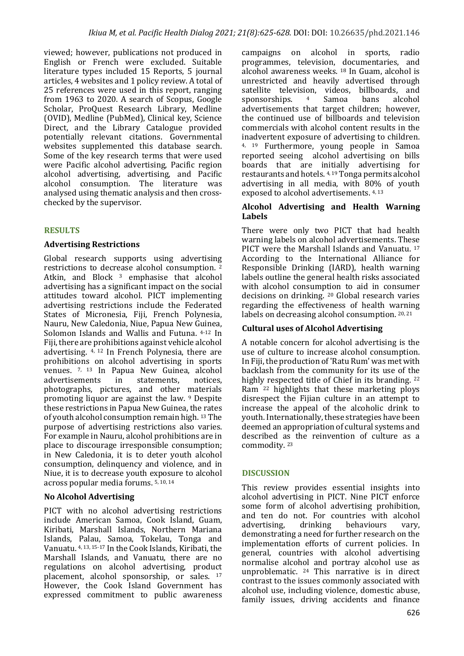viewed; however, publications not produced in English or French were excluded. Suitable literature types included 15 Reports, 5 journal articles, 4 websites and 1 policy review. A total of 25 references were used in this report, ranging from 1963 to 2020. A search of Scopus, Google Scholar, ProQuest Research Library, Medline (OVID), Medline (PubMed), Clinical key, Science Direct, and the Library Catalogue provided potentially relevant citations. Governmental websites supplemented this database search. Some of the key research terms that were used were Pacific alcohol advertising, Pacific region alcohol advertising, advertising, and Pacific alcohol consumption. The literature was analysed using thematic analysis and then crosschecked by the supervisor.

### **RESULTS**

#### **Advertising Restrictions**

Global research supports using advertising restrictions to decrease alcohol consumption.<sup>2</sup> Atkin, and Block  $3$  emphasise that alcohol advertising has a significant impact on the social attitudes toward alcohol. PICT implementing advertising restrictions include the Federated States of Micronesia, Fiji, French Polynesia, Nauru, New Caledonia, Niue, Papua New Guinea, Solomon Islands and Wallis and Futuna. 4-12 In Fiji, there are prohibitions against vehicle alcohol advertising.  $4$ ,  $12$  In French Polynesia, there are prohibitions on alcohol advertising in sports venues. 7, 13 In Papua New Guinea, alcohol advertisements in statements, notices, advertisements in statements, notices, photographs, pictures, and other materials promoting liquor are against the law.  $9$  Despite these restrictions in Papua New Guinea, the rates of vouth alcohol consumption remain high. 13 The purpose of advertising restrictions also varies. For example in Nauru, alcohol prohibitions are in place to discourage irresponsible consumption; in New Caledonia, it is to deter youth alcohol consumption, delinquency and violence, and in Niue, it is to decrease youth exposure to alcohol across popular media forums.  $5,10,14$ 

### **No Alcohol Advertising**

PICT with no alcohol advertising restrictions include American Samoa, Cook Island, Guam, Kiribati, Marshall Islands, Northern Mariana Islands, Palau, Samoa, Tokelau, Tonga and Vanuatu. 4, 13, 15-17 In the Cook Islands, Kiribati, the Marshall Islands, and Vanuatu, there are no regulations on alcohol advertising, product placement, alcohol sponsorship, or sales. <sup>17</sup> However, the Cook Island Government has expressed commitment to public awareness

campaigns on alcohol in sports, radio programmes, television, documentaries, and alcohol awareness weeks.  $18$  In Guam, alcohol is unrestricted and heavily advertised through satellite television, videos, billboards, and sponsorships. <sup>4</sup> Samoa bans alcohol advertisements that target children; however, the continued use of billboards and television commercials with alcohol content results in the inadvertent exposure of advertising to children. 4, 19 Furthermore, young people in Samoa reported seeing alcohol advertising on bills boards that are initially advertising for restaurants and hotels. 4, 19 Tonga permits alcohol advertising in all media, with  $80\%$  of youth exposed to alcohol advertisements. 4, 13

#### **Alcohol Advertising and Health Warning Labels**

There were only two PICT that had health warning labels on alcohol advertisements. These PICT were the Marshall Islands and Vanuatu. 17 According to the International Alliance for Responsible Drinking (IARD), health warning labels outline the general health risks associated with alcohol consumption to aid in consumer decisions on drinking.  $20$  Global research varies regarding the effectiveness of health warning labels on decreasing alcohol consumption.  $20, 21$ 

### **Cultural uses of Alcohol Advertising**

A notable concern for alcohol advertising is the use of culture to increase alcohol consumption. In Fiji, the production of 'Ratu Rum' was met with backlash from the community for its use of the highly respected title of Chief in its branding.  $22$ Ram  $^{22}$  highlights that these marketing ploys disrespect the Fijian culture in an attempt to increase the appeal of the alcoholic drink to youth. Internationally, these strategies have been deemed an appropriation of cultural systems and described as the reinvention of culture as a commodity.<sup>23</sup>

### **DISCUSSION**

This review provides essential insights into alcohol advertising in PICT. Nine PICT enforce some form of alcohol advertising prohibition, and ten do not. For countries with alcohol advertising, drinking behaviours vary, demonstrating a need for further research on the implementation efforts of current policies. In general, countries with alcohol advertising normalise alcohol and portray alcohol use as unproblematic.  $24$  This narrative is in direct contrast to the issues commonly associated with alcohol use, including violence, domestic abuse, family issues, driving accidents and finance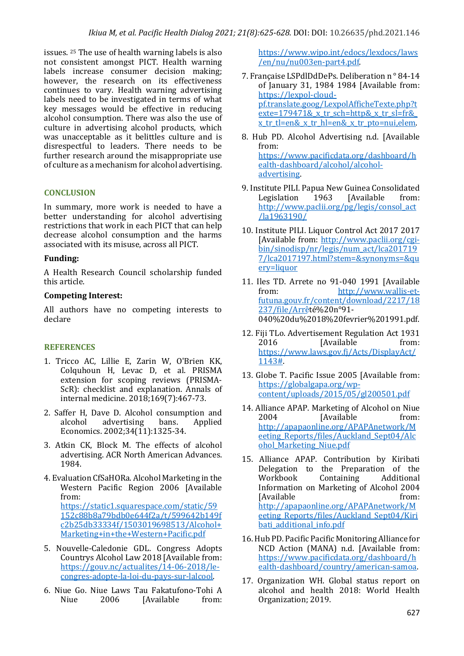issues. <sup>25</sup> The use of health warning labels is also not consistent amongst PICT. Health warning labels increase consumer decision making; however, the research on its effectiveness continues to vary. Health warning advertising labels need to be investigated in terms of what key messages would be effective in reducing alcohol consumption. There was also the use of culture in advertising alcohol products, which was unacceptable as it belittles culture and is disrespectful to leaders. There needs to be further research around the misappropriate use of culture as a mechanism for alcohol advertising.

#### **CONCLUSION**

In summary, more work is needed to have a better understanding for alcohol advertising restrictions that work in each PICT that can help decrease alcohol consumption and the harms associated with its misuse, across all PICT.

#### **Funding:**

A Health Research Council scholarship funded this article.

#### **Competing Interest:**

All authors have no competing interests to declare

### **REFERENCES**

- 1. Tricco AC, Lillie E, Zarin W, O'Brien KK, Colquhoun H, Levac D, et al. PRISMA extension for scoping reviews (PRISMA- $SCR$ ): checklist and explanation. Annals of internal medicine. 2018;169(7):467-73.
- 2. Saffer H, Dave D. Alcohol consumption and alcohol advertising bans. Applied Economics. 2002;34(11):1325-34.
- 3. Atkin CK, Block M. The effects of alcohol advertising. ACR North American Advances. 1984.
- 4. Evaluation CfSaHORa. Alcohol Marketing in the Western Pacific Region 2006 [Available from: https://static1.squarespace.com/static/59 152c88b8a79bdb0e644f2a/t/599642b149f c2b25db33334f/1503019698513/Alcohol+ Marketing+in+the+Western+Pacific.pdf
- 5. Nouvelle-Caledonie GDL. Congress Adopts Countrys Alcohol Law 2018 [Available from: https://gouv.nc/actualites/14-06-2018/lecongres-adopte-la-loi-du-pays-sur-lalcool.
- 6. Niue Go. Niue Laws Tau Fakatufono-Tohi A Niue 2006 [Available from:

https://www.wipo.int/edocs/lexdocs/laws /en/nu/nu003en-part4.pdf.

7. Française LSPdlDdDePs. Deliberation n°84-14 of January 31, 1984 1984 [Available from: https://lexpol-cloudpf.translate.goog/LexpolAfficheTexte.php?t exte=179471& x tr sch=http& x tr sl=fr&  $x$  tr tl=en&  $x$  tr hl=en&  $x$  tr pto=nui,elem.

- 8. Hub PD. Alcohol Advertising n.d. [Available from: https://www.pacificdata.org/dashboard/h ealth-dashboard/alcohol/alcoholadvertising.
- 9. Institute PILI. Papua New Guinea Consolidated Legislation 1963 [Available from: http://www.paclii.org/pg/legis/consol\_act /la1963190/
- 10. Institute PILI. Liquor Control Act 2017 2017 [Available from: http://www.paclii.org/cgibin/sinodisp/nr/legis/num\_act/lca201719 7/lca2017197.html?stem=&synonyms=&qu ery=liquor
- 11. Iles TD. Arrete no 91-040 1991 [Available from: http://www.wallis-etfutuna.gouv.fr/content/download/2217/18 237/file/Arrêté%20n°91- 040%20du%2018%20fevrier%201991.pdf.
- 12. Fiji TLo. Advertisement Regulation Act 1931 2016 [Available from: https://www.laws.gov.fj/Acts/DisplayAct/ 1143#.
- 13. Globe T. Pacific Issue 2005 [Available from: https://globalgapa.org/wpcontent/uploads/2015/05/gl200501.pdf
- 14. Alliance APAP. Marketing of Alcohol on Niue 2004 [Available from: http://apapaonline.org/APAPAnetwork/M eeting Reports/files/Auckland Sept04/Alc ohol Marketing Niue.pdf
- 15. Alliance APAP. Contribution by Kiribati Delegation to the Preparation of the<br>
Workbook Containing Additional Containing Additional Information on Marketing of Alcohol 2004 [Available from: http://apapaonline.org/APAPAnetwork/M eeting Reports/files/Auckland Sept04/Kiri bati\_additional\_info.pdf
- 16. Hub PD. Pacific Pacific Monitoring Alliance for NCD Action (MANA) n.d. [Available from: https://www.pacificdata.org/dashboard/h ealth-dashboard/country/american-samoa.
- 17. Organization WH. Global status report on alcohol and health 2018: World Health Organization; 2019.